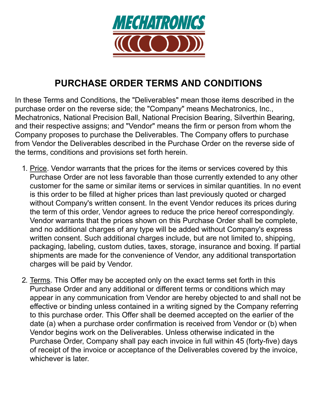

## **PURCHASE ORDER TERMS AND CONDITIONS**

In these Terms and Conditions, the "Deliverables" mean those items described in the purchase order on the reverse side; the "Company" means Mechatronics, Inc., Mechatronics, National Precision Ball, National Precision Bearing, Silverthin Bearing, and their respective assigns; and "Vendor" means the firm or person from whom the Company proposes to purchase the Deliverables. The Company offers to purchase from Vendor the Deliverables described in the Purchase Order on the reverse side of the terms, conditions and provisions set forth herein.

- 1. Price. Vendor warrants that the prices for the items or services covered by this Purchase Order are not less favorable than those currently extended to any other customer for the same or similar items or services in similar quantities. In no event is this order to be filled at higher prices than last previously quoted or charged without Company's written consent. In the event Vendor reduces its prices during the term of this order, Vendor agrees to reduce the price hereof correspondingly. Vendor warrants that the prices shown on this Purchase Order shall be complete, and no additional charges of any type will be added without Company's express written consent. Such additional charges include, but are not limited to, shipping, packaging, labeling, custom duties, taxes, storage, insurance and boxing. If partial shipments are made for the convenience of Vendor, any additional transportation charges will be paid by Vendor.
- 2. Terms. This Offer may be accepted only on the exact terms set forth in this Purchase Order and any additional or different terms or conditions which may appear in any communication from Vendor are hereby objected to and shall not be effective or binding unless contained in a writing signed by the Company referring to this purchase order. This Offer shall be deemed accepted on the earlier of the date (a) when a purchase order confirmation is received from Vendor or (b) when Vendor begins work on the Deliverables. Unless otherwise indicated in the Purchase Order, Company shall pay each invoice in full within 45 (forty-five) days of receipt of the invoice or acceptance of the Deliverables covered by the invoice, whichever is later.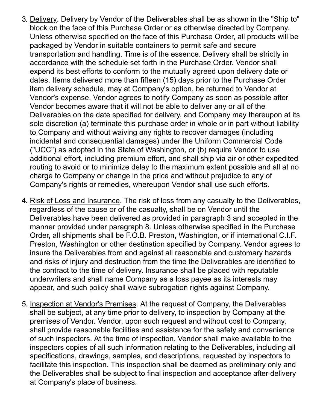- 3. Delivery. Delivery by Vendor of the Deliverables shall be as shown in the "Ship to" block on the face of this Purchase Order or as otherwise directed by Company. Unless otherwise specified on the face of this Purchase Order, all products will be packaged by Vendor in suitable containers to permit safe and secure transportation and handling. Time is of the essence. Delivery shall be strictly in accordance with the schedule set forth in the Purchase Order. Vendor shall expend its best efforts to conform to the mutually agreed upon delivery date or dates. Items delivered more than fifteen (15) days prior to the Purchase Order item delivery schedule, may at Company's option, be returned to Vendor at Vendor's expense. Vendor agrees to notify Company as soon as possible after Vendor becomes aware that it will not be able to deliver any or all of the Deliverables on the date specified for delivery, and Company may thereupon at its sole discretion (a) terminate this purchase order in whole or in part without liability to Company and without waiving any rights to recover damages (including incidental and consequential damages) under the Uniform Commercial Code ("UCC") as adopted in the State of Washington, or (b) require Vendor to use additional effort, including premium effort, and shall ship via air or other expedited routing to avoid or to minimize delay to the maximum extent possible and all at no charge to Company or change in the price and without prejudice to any of Company's rights or remedies, whereupon Vendor shall use such efforts.
- 4. Risk of Loss and Insurance. The risk of loss from any casualty to the Deliverables, regardless of the cause or of the casualty, shall be on Vendor until the Deliverables have been delivered as provided in paragraph 3 and accepted in the manner provided under paragraph 8. Unless otherwise specified in the Purchase Order, all shipments shall be F.O.B. Preston, Washington, or if international C.I.F. Preston, Washington or other destination specified by Company. Vendor agrees to insure the Deliverables from and against all reasonable and customary hazards and risks of injury and destruction from the time the Deliverables are identified to the contract to the time of delivery. Insurance shall be placed with reputable underwriters and shall name Company as a loss payee as its interests may appear, and such policy shall waive subrogation rights against Company.
- 5. Inspection at Vendor's Premises. At the request of Company, the Deliverables shall be subject, at any time prior to delivery, to inspection by Company at the premises of Vendor. Vendor, upon such request and without cost to Company, shall provide reasonable facilities and assistance for the safety and convenience of such inspectors. At the time of inspection, Vendor shall make available to the inspectors copies of all such information relating to the Deliverables, including all specifications, drawings, samples, and descriptions, requested by inspectors to facilitate this inspection. This inspection shall be deemed as preliminary only and the Deliverables shall be subject to final inspection and acceptance after delivery at Company's place of business.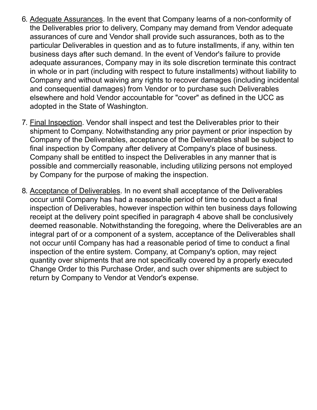- 6. Adequate Assurances. In the event that Company learns of a non-conformity of the Deliverables prior to delivery, Company may demand from Vendor adequate assurances of cure and Vendor shall provide such assurances, both as to the particular Deliverables in question and as to future installments, if any, within ten business days after such demand. In the event of Vendor's failure to provide adequate assurances, Company may in its sole discretion terminate this contract in whole or in part (including with respect to future installments) without liability to Company and without waiving any rights to recover damages (including incidental and consequential damages) from Vendor or to purchase such Deliverables elsewhere and hold Vendor accountable for "cover" as defined in the UCC as adopted in the State of Washington.
- 7. Final Inspection. Vendor shall inspect and test the Deliverables prior to their shipment to Company. Notwithstanding any prior payment or prior inspection by Company of the Deliverables, acceptance of the Deliverables shall be subject to final inspection by Company after delivery at Company's place of business. Company shall be entitled to inspect the Deliverables in any manner that is possible and commercially reasonable, including utilizing persons not employed by Company for the purpose of making the inspection.
- 8. Acceptance of Deliverables. In no event shall acceptance of the Deliverables occur until Company has had a reasonable period of time to conduct a final inspection of Deliverables, however inspection within ten business days following receipt at the delivery point specified in paragraph 4 above shall be conclusively deemed reasonable. Notwithstanding the foregoing, where the Deliverables are an integral part of or a component of a system, acceptance of the Deliverables shall not occur until Company has had a reasonable period of time to conduct a final inspection of the entire system. Company, at Company's option, may reject quantity over shipments that are not specifically covered by a properly executed Change Order to this Purchase Order, and such over shipments are subject to return by Company to Vendor at Vendor's expense.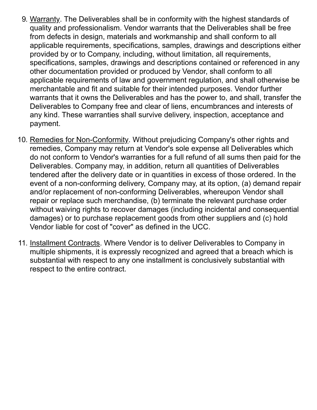- 9. Warranty. The Deliverables shall be in conformity with the highest standards of quality and professionalism. Vendor warrants that the Deliverables shall be free from defects in design, materials and workmanship and shall conform to all applicable requirements, specifications, samples, drawings and descriptions either provided by or to Company, including, without limitation, all requirements, specifications, samples, drawings and descriptions contained or referenced in any other documentation provided or produced by Vendor, shall conform to all applicable requirements of law and government regulation, and shall otherwise be merchantable and fit and suitable for their intended purposes. Vendor further warrants that it owns the Deliverables and has the power to, and shall, transfer the Deliverables to Company free and clear of liens, encumbrances and interests of any kind. These warranties shall survive delivery, inspection, acceptance and payment.
- 10. Remedies for Non-Conformity. Without prejudicing Company's other rights and remedies, Company may return at Vendor's sole expense all Deliverables which do not conform to Vendor's warranties for a full refund of all sums then paid for the Deliverables. Company may, in addition, return all quantities of Deliverables tendered after the delivery date or in quantities in excess of those ordered. In the event of a non-conforming delivery, Company may, at its option, (a) demand repair and/or replacement of non-conforming Deliverables, whereupon Vendor shall repair or replace such merchandise, (b) terminate the relevant purchase order without waiving rights to recover damages (including incidental and consequential damages) or to purchase replacement goods from other suppliers and (c) hold Vendor liable for cost of "cover" as defined in the UCC.
- 11. Installment Contracts. Where Vendor is to deliver Deliverables to Company in multiple shipments, it is expressly recognized and agreed that a breach which is substantial with respect to any one installment is conclusively substantial with respect to the entire contract.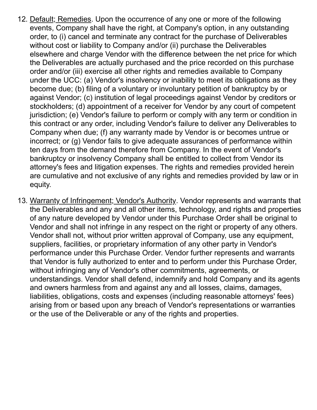- 12. Default; Remedies. Upon the occurrence of any one or more of the following events, Company shall have the right, at Company's option, in any outstanding order, to (i) cancel and terminate any contract for the purchase of Deliverables without cost or liability to Company and/or (ii) purchase the Deliverables elsewhere and charge Vendor with the difference between the net price for which the Deliverables are actually purchased and the price recorded on this purchase order and/or (iii) exercise all other rights and remedies available to Company under the UCC: (a) Vendor's insolvency or inability to meet its obligations as they become due; (b) filing of a voluntary or involuntary petition of bankruptcy by or against Vendor; (c) institution of legal proceedings against Vendor by creditors or stockholders; (d) appointment of a receiver for Vendor by any court of competent jurisdiction; (e) Vendor's failure to perform or comply with any term or condition in this contract or any order, including Vendor's failure to deliver any Deliverables to Company when due; (f) any warranty made by Vendor is or becomes untrue or incorrect; or (g) Vendor fails to give adequate assurances of performance within ten days from the demand therefore from Company. In the event of Vendor's bankruptcy or insolvency Company shall be entitled to collect from Vendor its attorney's fees and litigation expenses. The rights and remedies provided herein are cumulative and not exclusive of any rights and remedies provided by law or in equity.
- 13. Warranty of Infringement; Vendor's Authority. Vendor represents and warrants that the Deliverables and any and all other items, technology, and rights and properties of any nature developed by Vendor under this Purchase Order shall be original to Vendor and shall not infringe in any respect on the right or property of any others. Vendor shall not, without prior written approval of Company, use any equipment, suppliers, facilities, or proprietary information of any other party in Vendor's performance under this Purchase Order. Vendor further represents and warrants that Vendor is fully authorized to enter and to perform under this Purchase Order, without infringing any of Vendor's other commitments, agreements, or understandings. Vendor shall defend, indemnify and hold Company and its agents and owners harmless from and against any and all losses, claims, damages, liabilities, obligations, costs and expenses (including reasonable attorneys' fees) arising from or based upon any breach of Vendor's representations or warranties or the use of the Deliverable or any of the rights and properties.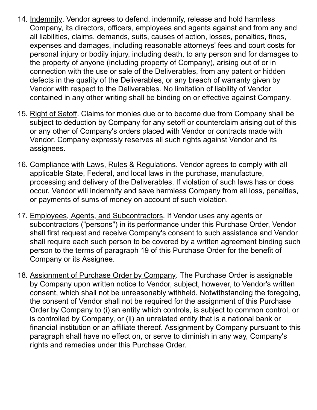- 14. Indemnity. Vendor agrees to defend, indemnify, release and hold harmless Company, its directors, officers, employees and agents against and from any and all liabilities, claims, demands, suits, causes of action, losses, penalties, fines, expenses and damages, including reasonable attorneys' fees and court costs for personal injury or bodily injury, including death, to any person and for damages to the property of anyone (including property of Company), arising out of or in connection with the use or sale of the Deliverables, from any patent or hidden defects in the quality of the Deliverables, or any breach of warranty given by Vendor with respect to the Deliverables. No limitation of liability of Vendor contained in any other writing shall be binding on or effective against Company.
- 15. Right of Setoff. Claims for monies due or to become due from Company shall be subject to deduction by Company for any setoff or counterclaim arising out of this or any other of Company's orders placed with Vendor or contracts made with Vendor. Company expressly reserves all such rights against Vendor and its assignees.
- 16. Compliance with Laws, Rules & Regulations. Vendor agrees to comply with all applicable State, Federal, and local laws in the purchase, manufacture, processing and delivery of the Deliverables. If violation of such laws has or does occur, Vendor will indemnify and save harmless Company from all loss, penalties, or payments of sums of money on account of such violation.
- 17. Employees, Agents, and Subcontractors. If Vendor uses any agents or subcontractors ("persons") in its performance under this Purchase Order, Vendor shall first request and receive Company's consent to such assistance and Vendor shall require each such person to be covered by a written agreement binding such person to the terms of paragraph 19 of this Purchase Order for the benefit of Company or its Assignee.
- 18. Assignment of Purchase Order by Company. The Purchase Order is assignable by Company upon written notice to Vendor, subject, however, to Vendor's written consent, which shall not be unreasonably withheld. Notwithstanding the foregoing, the consent of Vendor shall not be required for the assignment of this Purchase Order by Company to (i) an entity which controls, is subject to common control, or is controlled by Company, or (ii) an unrelated entity that is a national bank or financial institution or an affiliate thereof. Assignment by Company pursuant to this paragraph shall have no effect on, or serve to diminish in any way, Company's rights and remedies under this Purchase Order.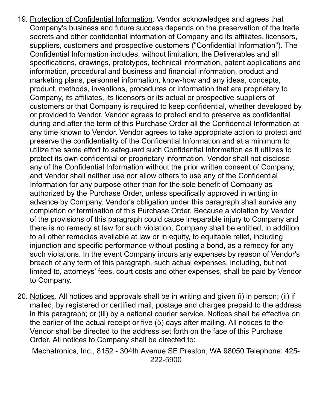- 19. Protection of Confidential Information. Vendor acknowledges and agrees that Company's business and future success depends on the preservation of the trade secrets and other confidential information of Company and its affiliates, licensors, suppliers, customers and prospective customers ("Confidential Information"). The Confidential Information includes, without limitation, the Deliverables and all specifications, drawings, prototypes, technical information, patent applications and information, procedural and business and financial information, product and marketing plans, personnel information, know-how and any ideas, concepts, product, methods, inventions, procedures or information that are proprietary to Company, its affiliates, its licensors or its actual or prospective suppliers of customers or that Company is required to keep confidential, whether developed by or provided to Vendor. Vendor agrees to protect and to preserve as confidential during and after the term of this Purchase Order all the Confidential Information at any time known to Vendor. Vendor agrees to take appropriate action to protect and preserve the confidentiality of the Confidential Information and at a minimum to utilize the same effort to safeguard such Confidential Information as it utilizes to protect its own confidential or proprietary information. Vendor shall not disclose any of the Confidential Information without the prior written consent of Company, and Vendor shall neither use nor allow others to use any of the Confidential Information for any purpose other than for the sole benefit of Company as authorized by the Purchase Order, unless specifically approved in writing in advance by Company. Vendor's obligation under this paragraph shall survive any completion or termination of this Purchase Order. Because a violation by Vendor of the provisions of this paragraph could cause irreparable injury to Company and there is no remedy at law for such violation, Company shall be entitled, in addition to all other remedies available at law or in equity, to equitable relief, including injunction and specific performance without posting a bond, as a remedy for any such violations. In the event Company incurs any expenses by reason of Vendor's breach of any term of this paragraph, such actual expenses, including, but not limited to, attorneys' fees, court costs and other expenses, shall be paid by Vendor to Company.
- 20. Notices. All notices and approvals shall be in writing and given (i) in person; (ii) if mailed, by registered or certified mail, postage and charges prepaid to the address in this paragraph; or (iii) by a national courier service. Notices shall be effective on the earlier of the actual receipt or five (5) days after mailing. All notices to the Vendor shall be directed to the address set forth on the face of this Purchase Order. All notices to Company shall be directed to:

Mechatronics, Inc., 8152 - 304th Avenue SE Preston, WA 98050 Telephone: 425- 222-5900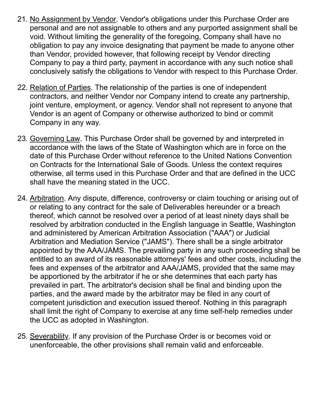- 21. No Assignment by Vendor. Vendor's obligations under this Purchase Order are personal and are not assignable to others and any purported assignment shall be void. Without limiting the generality of the foregoing, Company shall have no obligation to pay any invoice designating that payment be made to anyone other than Vendor, provided however, that following receipt by Vendor directing Company to pay a third party, payment in accordance with any such notice shall conclusively satisfy the obligations to Vendor with respect to this Purchase Order.
- 22. Relation of Parties. The relationship of the parties is one of independent contractors, and neither Vendor nor Company intend to create any partnership, joint venture, employment, or agency. Vendor shall not represent to anyone that Vendor is an agent of Company or otherwise authorized to bind or commit Company in any way.
- 23. Governing Law. This Purchase Order shall be governed by and interpreted in accordance with the laws of the State of Washington which are in force on the date of this Purchase Order without reference to the United Nations Convention on Contracts for the International Sale of Goods. Unless the context requires otherwise, all terms used in this Purchase Order and that are defined in the UCC shall have the meaning stated in the UCC.
- 24. Arbitration. Any dispute, difference, controversy or claim touching or arising out of or relating to any contract for the sale of Deliverables hereunder or a breach thereof, which cannot be resolved over a period of at least ninety days shall be resolved by arbitration conducted in the English language in Seattle, Washington and administered by American Arbitration Association ("AAA") or Judicial Arbitration and Mediation Service ("JAMS"). There shall be a single arbitrator appointed by the AAA/JAMS. The prevailing party in any such proceeding shall be entitled to an award of its reasonable attorneys' fees and other costs, including the fees and expenses of the arbitrator and AAA/JAMS, provided that the same may be apportioned by the arbitrator if he or she determines that each party has prevailed in part. The arbitrator's decision shall be final and binding upon the parties, and the award made by the arbitrator may be filed in any court of competent jurisdiction and execution issued thereof. Nothing in this paragraph shall limit the right of Company to exercise at any time self-help remedies under the UCC as adopted in Washington.
- 25. Severability. If any provision of the Purchase Order is or becomes void or unenforceable, the other provisions shall remain valid and enforceable.